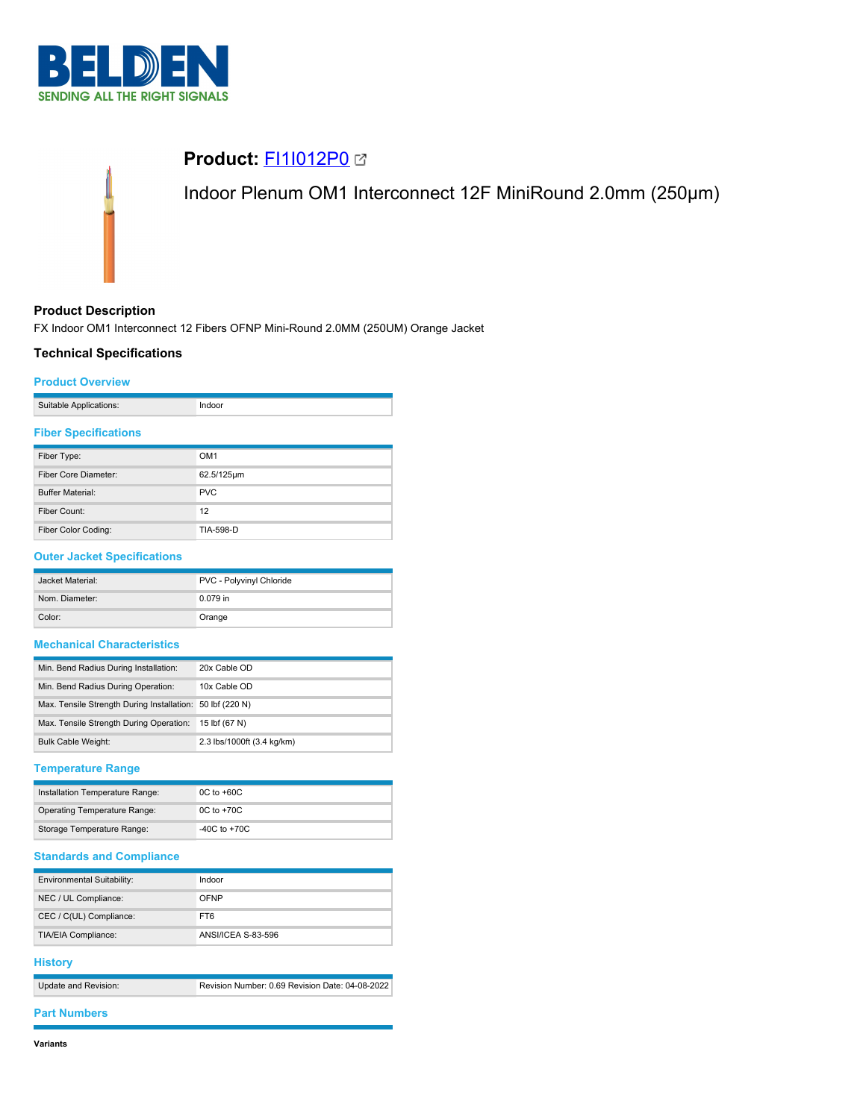

# **Product: [FI1I012P0](https://catalog.belden.com/index.cfm?event=pd&p=PF_FI1I012P0&tab=downloads) 2** Indoor Plenum OM1 Interconnect 12F MiniRound 2.0mm (250μm)

### **Product Description**

FX Indoor OM1 Interconnect 12 Fibers OFNP Mini-Round 2.0MM (250UM) Orange Jacket

# **Technical Specifications**

#### **Product Overview**

|  | Suitable Applications: |  |
|--|------------------------|--|
|--|------------------------|--|

# **Fiber Specifications**

| Fiber Type:             | OM <sub>1</sub> |
|-------------------------|-----------------|
| Fiber Core Diameter:    | 62.5/125um      |
| <b>Buffer Material:</b> | <b>PVC</b>      |
| Fiber Count:            | 12              |
| Fiber Color Coding:     | TIA-598-D       |

#### **Outer Jacket Specifications**

| Jacket Material: | PVC - Polyvinyl Chloride |
|------------------|--------------------------|
| Nom. Diameter:   | $0.079$ in               |
| Color:           | Orange                   |

#### **Mechanical Characteristics**

| Min. Bend Radius During Installation:                     | 20x Cable OD               |
|-----------------------------------------------------------|----------------------------|
| Min. Bend Radius During Operation:                        | 10x Cable OD               |
| Max. Tensile Strength During Installation: 50 lbf (220 N) |                            |
| Max. Tensile Strength During Operation:                   | 15 lbf (67 N)              |
| <b>Bulk Cable Weight:</b>                                 | 2.3 lbs/1000ft (3.4 kg/km) |

#### **Temperature Range**

| Installation Temperature Range: | $0C$ to $+60C$ |
|---------------------------------|----------------|
| Operating Temperature Range:    | $0C$ to $+70C$ |
| Storage Temperature Range:      | -40C to $+70C$ |

# **Standards and Compliance**

| <b>Environmental Suitability:</b> | Indoor             |
|-----------------------------------|--------------------|
| NEC / UL Compliance:              | OFNP               |
| CEC / C(UL) Compliance:           | FT6                |
| TIA/EIA Compliance:               | ANSI/ICEA S-83-596 |

#### **History**

| Update and Revision: | Revision Number: 0.69 Revision Date: 04-08-2022 |
|----------------------|-------------------------------------------------|

#### **Part Numbers**